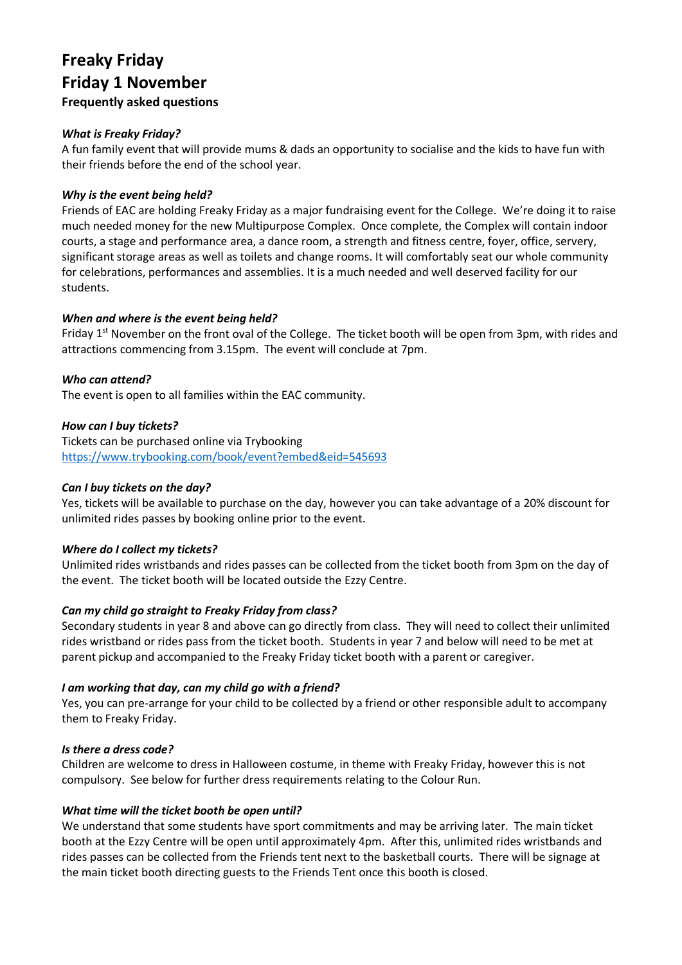# **Freaky Friday Friday 1 November Frequently asked questions**

## *What is Freaky Friday?*

A fun family event that will provide mums & dads an opportunity to socialise and the kids to have fun with their friends before the end of the school year.

#### *Why is the event being held?*

Friends of EAC are holding Freaky Friday as a major fundraising event for the College. We're doing it to raise much needed money for the new Multipurpose Complex. Once complete, the Complex will contain indoor courts, a stage and performance area, a dance room, a strength and fitness centre, foyer, office, servery, significant storage areas as well as toilets and change rooms. It will comfortably seat our whole community for celebrations, performances and assemblies. It is a much needed and well deserved facility for our students.

## *When and where is the event being held?*

Friday  $1<sup>st</sup>$  November on the front oval of the College. The ticket booth will be open from 3pm, with rides and attractions commencing from 3.15pm. The event will conclude at 7pm.

## *Who can attend?*

The event is open to all families within the EAC community.

#### *How can I buy tickets?*

Tickets can be purchased online via Trybooking <https://www.trybooking.com/book/event?embed&eid=545693>

#### *Can I buy tickets on the day?*

Yes, tickets will be available to purchase on the day, however you can take advantage of a 20% discount for unlimited rides passes by booking online prior to the event.

#### *Where do I collect my tickets?*

Unlimited rides wristbands and rides passes can be collected from the ticket booth from 3pm on the day of the event. The ticket booth will be located outside the Ezzy Centre.

# *Can my child go straight to Freaky Friday from class?*

Secondary students in year 8 and above can go directly from class. They will need to collect their unlimited rides wristband or rides pass from the ticket booth. Students in year 7 and below will need to be met at parent pickup and accompanied to the Freaky Friday ticket booth with a parent or caregiver.

#### *I am working that day, can my child go with a friend?*

Yes, you can pre-arrange for your child to be collected by a friend or other responsible adult to accompany them to Freaky Friday.

#### *Is there a dress code?*

Children are welcome to dress in Halloween costume, in theme with Freaky Friday, however this is not compulsory. See below for further dress requirements relating to the Colour Run.

#### *What time will the ticket booth be open until?*

We understand that some students have sport commitments and may be arriving later. The main ticket booth at the Ezzy Centre will be open until approximately 4pm. After this, unlimited rides wristbands and rides passes can be collected from the Friends tent next to the basketball courts. There will be signage at the main ticket booth directing guests to the Friends Tent once this booth is closed.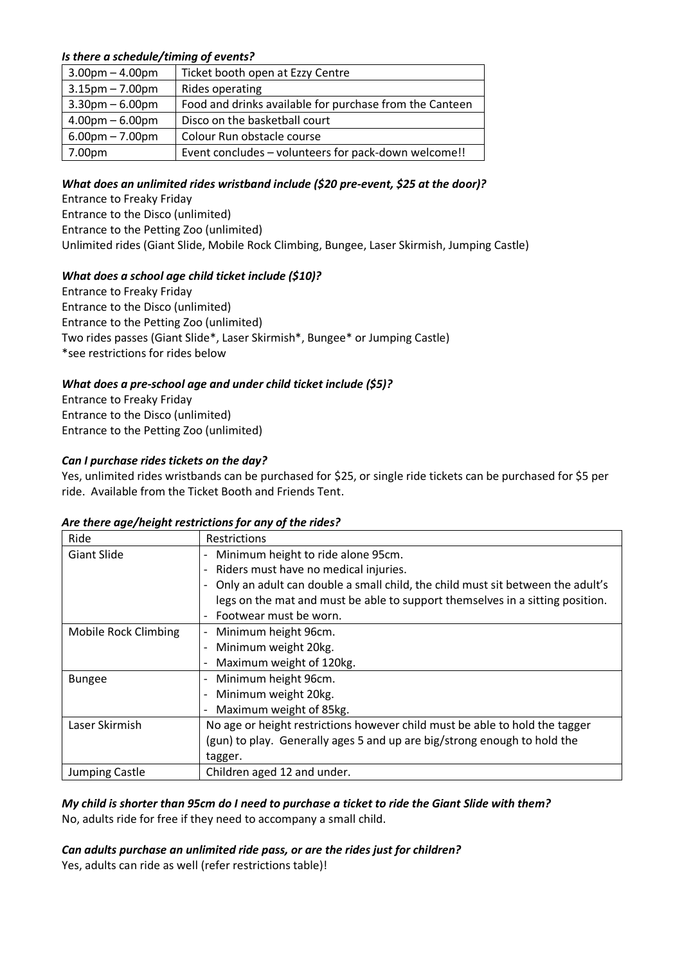# *Is there a schedule/timing of events?*

| $3.00$ pm $- 4.00$ pm             | Ticket booth open at Ezzy Centre                        |
|-----------------------------------|---------------------------------------------------------|
| $3.15$ pm – 7.00pm                | Rides operating                                         |
| $3.30$ pm $-6.00$ pm              | Food and drinks available for purchase from the Canteen |
| $4.00pm - 6.00pm$                 | Disco on the basketball court                           |
| $6.00 \text{pm} - 7.00 \text{pm}$ | Colour Run obstacle course                              |
| 7.00pm                            | Event concludes - volunteers for pack-down welcome!!    |

## *What does an unlimited rides wristband include (\$20 pre-event, \$25 at the door)?*

Entrance to Freaky Friday Entrance to the Disco (unlimited) Entrance to the Petting Zoo (unlimited) Unlimited rides (Giant Slide, Mobile Rock Climbing, Bungee, Laser Skirmish, Jumping Castle)

## *What does a school age child ticket include (\$10)?*

Entrance to Freaky Friday Entrance to the Disco (unlimited) Entrance to the Petting Zoo (unlimited) Two rides passes (Giant Slide\*, Laser Skirmish\*, Bungee\* or Jumping Castle) \*see restrictions for rides below

# *What does a pre-school age and under child ticket include (\$5)?*

Entrance to Freaky Friday Entrance to the Disco (unlimited) Entrance to the Petting Zoo (unlimited)

## *Can I purchase rides tickets on the day?*

Yes, unlimited rides wristbands can be purchased for \$25, or single ride tickets can be purchased for \$5 per ride. Available from the Ticket Booth and Friends Tent.

#### *Are there age/height restrictions for any of the rides?*

| Ride                 | <b>Restrictions</b>                                                            |
|----------------------|--------------------------------------------------------------------------------|
| <b>Giant Slide</b>   | Minimum height to ride alone 95cm.                                             |
|                      | Riders must have no medical injuries.                                          |
|                      | Only an adult can double a small child, the child must sit between the adult's |
|                      | legs on the mat and must be able to support themselves in a sitting position.  |
|                      | Footwear must be worn.                                                         |
| Mobile Rock Climbing | Minimum height 96cm.<br>$\overline{\phantom{0}}$                               |
|                      | Minimum weight 20kg.                                                           |
|                      | Maximum weight of 120kg.                                                       |
| <b>Bungee</b>        | Minimum height 96cm.                                                           |
|                      | Minimum weight 20kg.                                                           |
|                      | Maximum weight of 85kg.                                                        |
| Laser Skirmish       | No age or height restrictions however child must be able to hold the tagger    |
|                      | (gun) to play. Generally ages 5 and up are big/strong enough to hold the       |
|                      | tagger.                                                                        |
| Jumping Castle       | Children aged 12 and under.                                                    |

## *My child is shorter than 95cm do I need to purchase a ticket to ride the Giant Slide with them?* No, adults ride for free if they need to accompany a small child.

#### *Can adults purchase an unlimited ride pass, or are the rides just for children?* Yes, adults can ride as well (refer restrictions table)!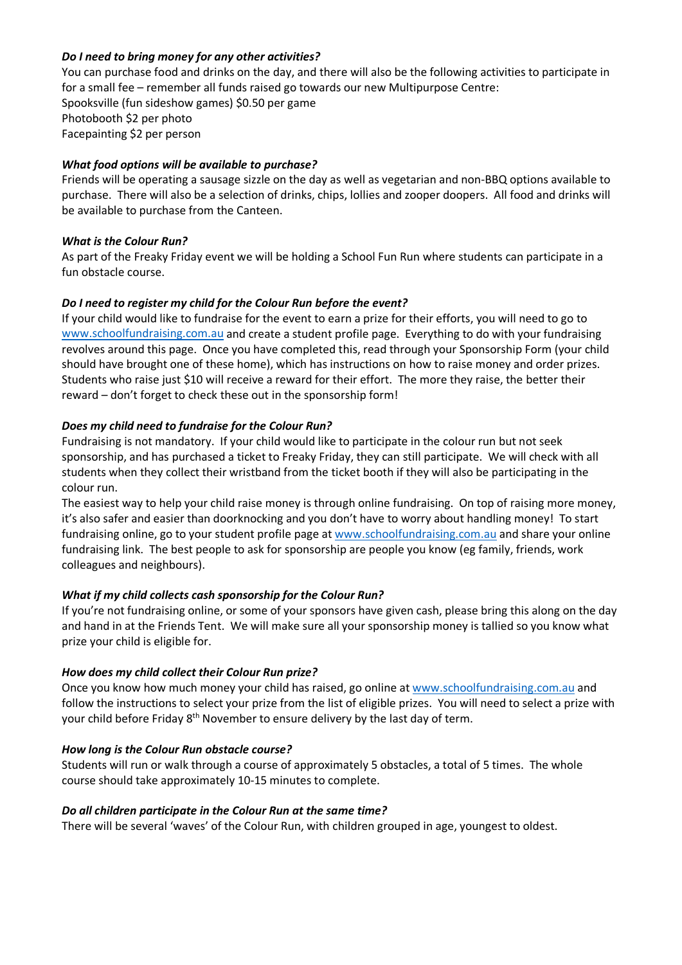## *Do I need to bring money for any other activities?*

You can purchase food and drinks on the day, and there will also be the following activities to participate in for a small fee – remember all funds raised go towards our new Multipurpose Centre: Spooksville (fun sideshow games) \$0.50 per game Photobooth \$2 per photo Facepainting \$2 per person

## *What food options will be available to purchase?*

Friends will be operating a sausage sizzle on the day as well as vegetarian and non-BBQ options available to purchase. There will also be a selection of drinks, chips, lollies and zooper doopers. All food and drinks will be available to purchase from the Canteen.

## *What is the Colour Run?*

As part of the Freaky Friday event we will be holding a School Fun Run where students can participate in a fun obstacle course.

## *Do I need to register my child for the Colour Run before the event?*

If your child would like to fundraise for the event to earn a prize for their efforts, you will need to go to [www.schoolfundraising.com.au](http://www.schoolfundraising.com.au/) and create a student profile page. Everything to do with your fundraising revolves around this page. Once you have completed this, read through your Sponsorship Form (your child should have brought one of these home), which has instructions on how to raise money and order prizes. Students who raise just \$10 will receive a reward for their effort. The more they raise, the better their reward – don't forget to check these out in the sponsorship form!

## *Does my child need to fundraise for the Colour Run?*

Fundraising is not mandatory. If your child would like to participate in the colour run but not seek sponsorship, and has purchased a ticket to Freaky Friday, they can still participate. We will check with all students when they collect their wristband from the ticket booth if they will also be participating in the colour run.

The easiest way to help your child raise money is through online fundraising. On top of raising more money, it's also safer and easier than doorknocking and you don't have to worry about handling money! To start fundraising online, go to your student profile page at [www.schoolfundraising.com.au](http://www.schoolfundraising.com.au/) and share your online fundraising link. The best people to ask for sponsorship are people you know (eg family, friends, work colleagues and neighbours).

# *What if my child collects cash sponsorship for the Colour Run?*

If you're not fundraising online, or some of your sponsors have given cash, please bring this along on the day and hand in at the Friends Tent. We will make sure all your sponsorship money is tallied so you know what prize your child is eligible for.

# *How does my child collect their Colour Run prize?*

Once you know how much money your child has raised, go online at [www.schoolfundraising.com.au](http://www.schoolfundraising.com.au/) and follow the instructions to select your prize from the list of eligible prizes. You will need to select a prize with your child before Friday 8<sup>th</sup> November to ensure delivery by the last day of term.

# *How long is the Colour Run obstacle course?*

Students will run or walk through a course of approximately 5 obstacles, a total of 5 times. The whole course should take approximately 10-15 minutes to complete.

#### *Do all children participate in the Colour Run at the same time?*

There will be several 'waves' of the Colour Run, with children grouped in age, youngest to oldest.